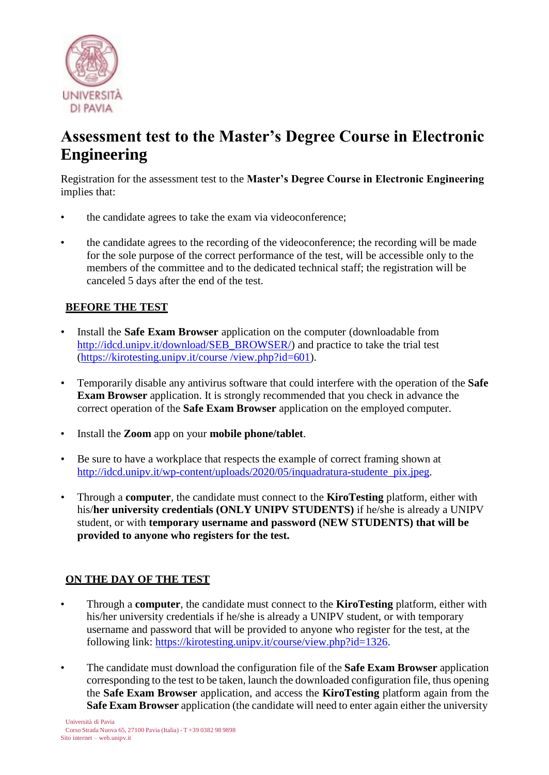

## **Assessment test to the Master's Degree Course in Electronic Engineering**

Registration for the assessment test to the **Master's Degree Course in Electronic Engineering** implies that:

- the candidate agrees to take the exam via videoconference;
- the candidate agrees to the recording of the videoconference; the recording will be made for the sole purpose of the correct performance of the test, will be accessible only to the members of the committee and to the dedicated technical staff; the registration will be canceled 5 days after the end of the test.

## **BEFORE THE TEST**

- Install the **Safe Exam Browser** application on the computer (downloadable from [http://idcd.unipv.it/download/SEB\\_BROWSER/\) a](http://idcd.unipv.it/download/SEB_BROWSER/))nd practice to take the trial test (https://kirotesting.unipv.it/course /view.php?id=601).
- Temporarily disable any antivirus software that could interfere with the operation of the **Safe Exam Browser** application. It is strongly recommended that you check in advance the correct operation of the **Safe Exam Browser** application on the employed computer.
- Install the **Zoom** app on your **mobile phone/tablet**.
- Be sure to have a workplace that respects the example of correct framing shown at [http://idcd.unipv.it/wp-content/uploads/2020/05/inquadratura-studente\\_pix.jpeg.](http://idcd.unipv.it/wp-content/uploads/2020/05/inquadratura-studente_pix.jpeg)
- Through a **computer**, the candidate must connect to the **KiroTesting** platform, either with his/**her university credentials (ONLY UNIPV STUDENTS)** if he/she is already a UNIPV student, or with **temporary username and password (NEW STUDENTS) that will be provided to anyone who registers for the test.**

## **ON THE DAY OF THE TEST**

- Through a **computer**, the candidate must connect to the **KiroTesting** platform, either with his/her university credentials if he/she is already a UNIPV student, or with temporary username and password that will be provided to anyone who register for the test, at the following link: https://kirotesting.unipv.it/course/view.php?id=1326.
- The candidate must download the configuration file of the **Safe Exam Browser** application corresponding to the test to be taken, launch the downloaded configuration file, thus opening the **Safe Exam Browser** application, and access the **KiroTesting** platform again from the **Safe Exam Browser** application (the candidate will need to enter again either the university